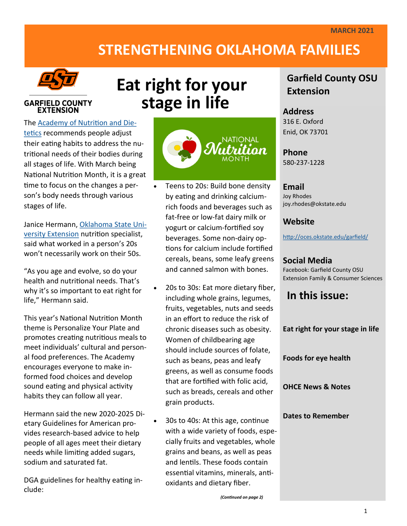# **STRENGTHENING OKLAHOMA FAMILIES**



### **GARFIELD COUNTY EXTENSION**

The [Academy of Nutrition and Die](https://www.eatright.org/)[tetics](https://www.eatright.org/) recommends people adjust their eating habits to address the nutritional needs of their bodies during all stages of life. With March being National Nutrition Month, it is a great time to focus on the changes a person's body needs through various stages of life.

Janice Hermann, [Oklahoma State Uni](https://extension.okstate.edu/)[versity Extension](https://extension.okstate.edu/) nutrition specialist, said what worked in a person's 20s won't necessarily work on their 50s.

"As you age and evolve, so do your health and nutritional needs. That's why it's so important to eat right for life," Hermann said.

This year's National Nutrition Month theme is Personalize Your Plate and promotes creating nutritious meals to meet individuals' cultural and personal food preferences. The Academy encourages everyone to make informed food choices and develop sound eating and physical activity habits they can follow all year.

Hermann said the new 2020-2025 Dietary Guidelines for American provides research-based advice to help people of all ages meet their dietary needs while limiting added sugars, sodium and saturated fat.

DGA guidelines for healthy eating include:

**stage in life**nthition.

**Eat right for your** 

- Teens to 20s: Build bone density by eating and drinking calciumrich foods and beverages such as fat-free or low-fat dairy milk or yogurt or calcium-fortified soy beverages. Some non-dairy options for calcium include fortified cereals, beans, some leafy greens and canned salmon with bones.
- 20s to 30s: Eat more dietary fiber, including whole grains, legumes, fruits, vegetables, nuts and seeds in an effort to reduce the risk of chronic diseases such as obesity. Women of childbearing age should include sources of folate, such as beans, peas and leafy greens, as well as consume foods that are fortified with folic acid, such as breads, cereals and other grain products.
- 30s to 40s: At this age, continue with a wide variety of foods, especially fruits and vegetables, whole grains and beans, as well as peas and lentils. These foods contain essential vitamins, minerals, antioxidants and dietary fiber.

### **Garfield County OSU Extension**

### **Address** 316 E. Oxford

Enid, OK 73701

**Phone** 580-237-1228

### **Email**

Joy Rhodes joy.rhodes@okstate.edu

### **Website**

<http://oces.okstate.edu/garfield/>

### **Social Media**

Facebook: Garfield County OSU Extension Family & Consumer Sciences

**In this issue:**

**Eat right for your stage in life**

**Foods for eye health**

**OHCE News & Notes**

#### **Dates to Remember**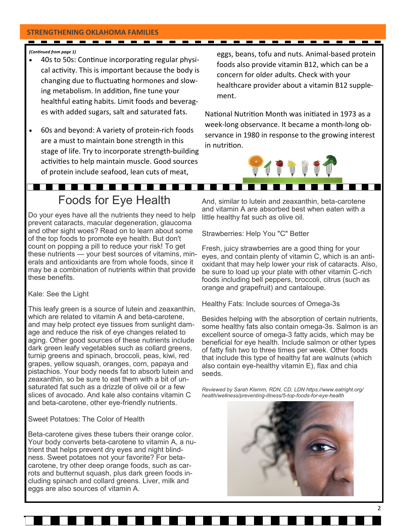#### **STRENGTHENING OKLAHOMA FAMILIES**

#### *(Continued from page 1)*

• 40s to 50s: Continue incorporating regular physical activity. This is important because the body is changing due to fluctuating hormones and slowing metabolism. In addition, fine tune your healthful eating habits. Limit foods and beverages with added sugars, salt and saturated fats.

- - - - -

• 60s and beyond: A variety of protein-rich foods are a must to maintain bone strength in this stage of life. Try to incorporate strength-building activities to help maintain muscle. Good sources of protein include seafood, lean cuts of meat,

eggs, beans, tofu and nuts. Animal-based protein foods also provide vitamin B12, which can be a concern for older adults. Check with your healthcare provider about a vitamin B12 supplement.

National Nutrition Month was initiated in 1973 as a week-long observance. It became a month-long observance in 1980 in response to the growing interest in nutrition.



# Foods for Eye Health

Do your eyes have all the nutrients they need to help prevent cataracts, macular degeneration, glaucoma and other sight woes? Read on to learn about some of the top foods to promote eye health. But don't count on popping a pill to reduce your risk! To get these nutrients — your best sources of vitamins, minerals and antioxidants are from whole foods, since it may be a combination of nutrients within that provide these benefits.

#### Kale: See the Light

This leafy green is a source of lutein and zeaxanthin, which are related to vitamin A and beta-carotene, and may help protect eye tissues from sunlight damage and reduce the risk of eye changes related to aging. Other good sources of these nutrients include dark green leafy vegetables such as collard greens, turnip greens and spinach, broccoli, peas, kiwi, red grapes, yellow squash, oranges, corn, papaya and pistachios. Your body needs fat to absorb lutein and zeaxanthin, so be sure to eat them with a bit of unsaturated fat such as a drizzle of olive oil or a few slices of avocado. And kale also contains vitamin C and beta-carotene, other eye-friendly nutrients.

Sweet Potatoes: The Color of Health

Beta-carotene gives these tubers their orange color. Your body converts beta-carotene to vitamin A, a nutrient that helps prevent dry eyes and night blindness. Sweet potatoes not your favorite? For betacarotene, try other deep orange foods, such as carrots and butternut squash, plus dark green foods including spinach and collard greens. Liver, milk and eggs are also sources of vitamin A.

And, similar to lutein and zeaxanthin, beta-carotene and vitamin A are absorbed best when eaten with a little healthy fat such as olive oil.

Strawberries: Help You "C" Better

Fresh, juicy strawberries are a good thing for your eyes, and contain plenty of vitamin C, which is an antioxidant that may help lower your risk of cataracts. Also, be sure to load up your plate with other vitamin C-rich foods including bell peppers, broccoli, citrus (such as orange and grapefruit) and cantaloupe.

Healthy Fats: Include sources of Omega-3s

Besides helping with the absorption of certain nutrients, some healthy fats also contain omega-3s. Salmon is an excellent source of omega-3 fatty acids, which may be beneficial for eye health. Include salmon or other types of fatty fish two to three times per week. Other foods that include this type of healthy fat are walnuts (which also contain eye-healthy vitamin E), flax and chia seeds.

*Reviewed by Sarah Klemm, RDN, CD, LDN https://www.eatright.org/ health/wellness/preventing-illness/5-top-foods-for-eye-health*

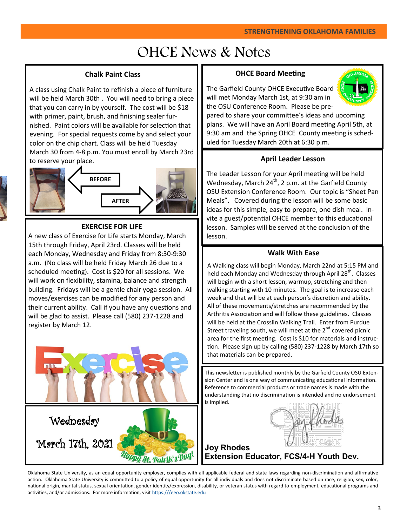# OHCE News & Notes

### **Chalk Paint Class**

A class using Chalk Paint to refinish a piece of furniture will be held March 30th . You will need to bring a piece that you can carry in by yourself. The cost will be \$18 with primer, paint, brush, and finishing sealer furnished. Paint colors will be available for selection that evening. For special requests come by and select your color on the chip chart. Class will be held Tuesday March 30 from 4-8 p.m. You must enroll by March 23rd to reserve your place.



### **EXERCISE FOR LIFE**

A new class of Exercise for Life starts Monday, March 15th through Friday, April 23rd. Classes will be held each Monday, Wednesday and Friday from 8:30-9:30 a.m. (No class will be held Friday March 26 due to a scheduled meeting). Cost is \$20 for all sessions. We will work on flexibility, stamina, balance and strength building. Fridays will be a gentle chair yoga session. All moves/exercises can be modified for any person and their current ability. Call if you have any questions and will be glad to assist. Please call (580) 237-1228 and register by March 12.



### **OHCE Board Meeting**

The Garfield County OHCE Executive Board will met Monday March 1st, at 9:30 am in the OSU Conference Room. Please be pre-



pared to share your committee's ideas and upcoming plans. We will have an April Board meeting April 5th, at 9:30 am and the Spring OHCE County meeting is scheduled for Tuesday March 20th at 6:30 p.m.

### **April Leader Lesson**

The Leader Lesson for your April meeting will be held Wednesday, March  $24^{th}$ , 2 p.m. at the Garfield County OSU Extension Conference Room. Our topic is "Sheet Pan Meals". Covered during the lesson will be some basic ideas for this simple, easy to prepare, one dish meal. Invite a guest/potential OHCE member to this educational lesson. Samples will be served at the conclusion of the lesson.

### **Walk With Ease**

A Walking class will begin Monday, March 22nd at 5:15 PM and held each Monday and Wednesday through April 28<sup>th</sup>. Classes will begin with a short lesson, warmup, stretching and then walking starting with 10 minutes. The goal is to increase each week and that will be at each person's discretion and ability. All of these movements/stretches are recommended by the Arthritis Association and will follow these guidelines. Classes will be held at the Crosslin Walking Trail. Enter from Purdue Street traveling south, we will meet at the  $2^{nd}$  covered picnic area for the first meeting. Cost is \$10 for materials and instruction. Please sign up by calling (580) 237-1228 by March 17th so that materials can be prepared.

This newsletter is published monthly by the Garfield County OSU Extension Center and is one way of communicating educational information. Reference to commercial products or trade names is made with the understanding that no discrimination is intended and no endorsement is implied.

az flodes

**Joy Rhodes Extension Educator, FCS/4-H Youth Dev.** 

Oklahoma State University, as an equal opportunity employer, complies with all applicable federal and state laws regarding non-discrimination and affirmative action. Oklahoma State University is committed to a policy of equal opportunity for all individuals and does not discriminate based on race, religion, sex, color, national origin, marital status, sexual orientation, gender identity/expression, disability, or veteran status with regard to employment, educational programs and activities, and/or admissions. For more information, visit [https:///eeo.okstate.edu](https://eeo.okstate.edu/)